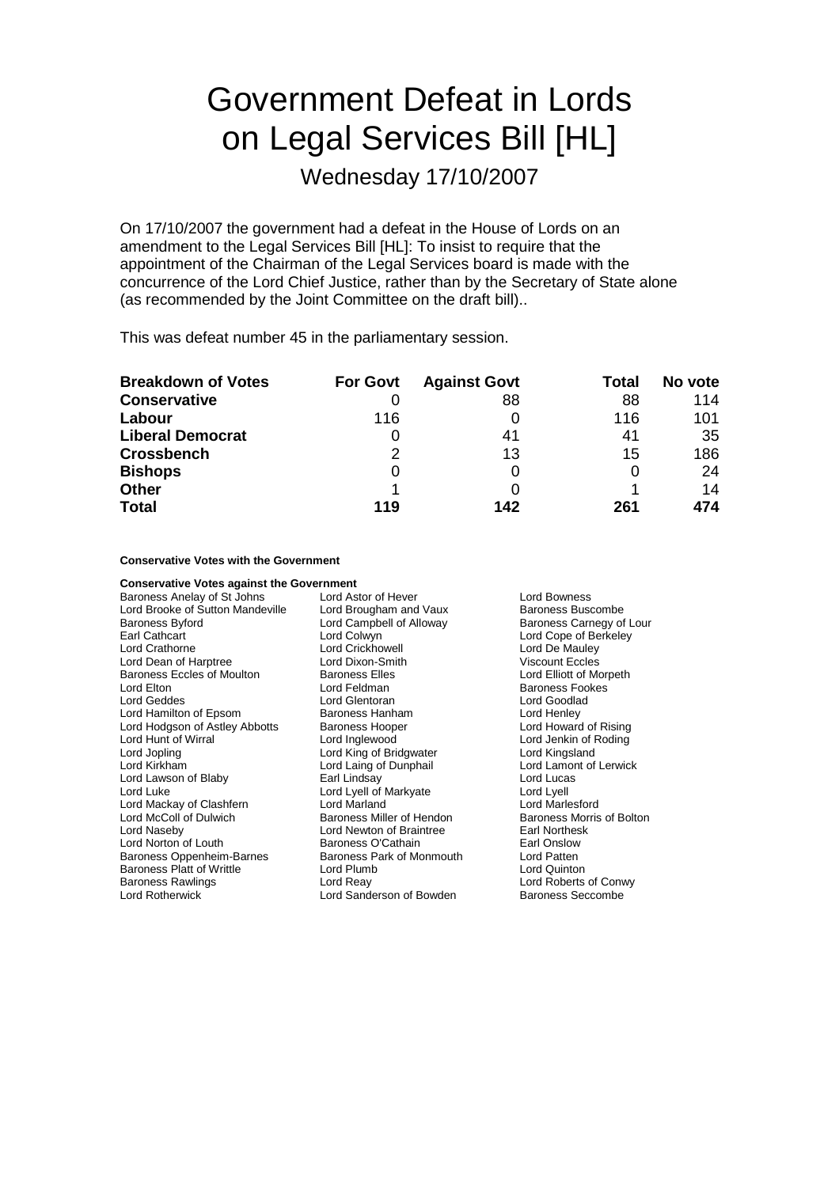# Government Defeat in Lords on Legal Services Bill [HL]

Wednesday 17/10/2007

On 17/10/2007 the government had a defeat in the House of Lords on an amendment to the Legal Services Bill [HL]: To insist to require that the appointment of the Chairman of the Legal Services board is made with the concurrence of the Lord Chief Justice, rather than by the Secretary of State alone (as recommended by the Joint Committee on the draft bill)..

This was defeat number 45 in the parliamentary session.

| <b>Breakdown of Votes</b> | <b>For Govt</b> | <b>Against Govt</b> | Total | No vote |
|---------------------------|-----------------|---------------------|-------|---------|
| <b>Conservative</b>       |                 | 88                  | 88    | 114     |
| Labour                    | 116             |                     | 116   | 101     |
| <b>Liberal Democrat</b>   |                 | 41                  | 41    | -35     |
| <b>Crossbench</b>         | 2               | 13                  | 15    | 186     |
| <b>Bishops</b>            | O               |                     |       | -24     |
| <b>Other</b>              |                 |                     |       | 14      |
| <b>Total</b>              | 119             | 142                 | 261   | 474     |

#### **Conservative Votes with the Government**

### **Conservative Votes against the Government**<br>Baroness Anelay of St Johns Lord Astor of Hever

Baroness Anelay of St Johns Lord Astor of Hever Theoress Lord Bowness<br>
Lord Brooke of Sutton Mandeville Lord Brougham and Vaux Baroness Buscombe Lord Brooke of Sutton Mandeville Baroness Byford **Lord Campbell of Alloway** Baroness Carnegy of Lour Earl Cathcart Lord Colwyn Lord Cope of Berkeley Lord Crathorne **Lord Crickhowell** Lord Crickhowell **Lord De Mauley Lord De Mauley**<br>
Lord Dean of Harptree **Lord Dixon-Smith** Viscount Eccles Lord Dean of Harptree **Lord Dixon-Smith** Viscount Eccles<br>
Baroness Eccles of Moulton Baroness Elles **Lord Elliott of Morpeth** Baroness Eccles of Moulton Baroness Elles<br>
Lord Elton<br>
Lord Feldman Lord Elton Lord Feldman Baroness Fookes Lord Hamilton of Epsom Baroness Hanham Lord Henley<br>
Lord Hodgson of Astley Abbotts Baroness Hooper Lord Howard of Rising Lord Hodgson of Astley Abbotts Baroness Hooper<br>
Lord Hunt of Wirral **Baroness Hooper** Lord Hunt of Wirral **Lord Lord Inglewood** Cord Jenkin of Roding<br>
Lord Jopling Lord Inglewood Cord King of Bridgwater **Lord Kingsland** Lord Jopling **Lord King of Bridgwater**<br>
Lord Kirkham **Lord Laing of Dunphail** Lord Lawson of Blaby **Earl Lindsay** Earl Lord Lord Lucas<br>
Lord Lucas
Lord Lucas
Lord Lord Lyell of Markyate
Lord Lyell Lord Mackay of Clashfern Lord Marland Lord McColl of Dulwich **Baroness Miller of Hendon** Baroness Morris of Bolton Lord Newton of Braintree **Baroness Morris of Bolton** Lord Naseby **Lord Newton of Braintree** Earl Northes<br>
Lord Norton of Louth **Baroness O'Cathain** Earl Onslow Baroness Oppenheim-Barnes Baroness Park of Monmouth Lord Patten<br>Baroness Platt of Writtle Lord Plumb Lord Plumb Lord Quinton Baroness Platt of Writtle Lord Plum<br>Baroness Rawlings Lord Reav Baroness Rawlings Lord Reay Lord Roberts of Conwy

Lord Glentoran **Lord Goodla**<br>Baroness Hanham **Lord Henley** Lord Laing of Dunphail Lord Lamont of Lerwick<br>
Earl Lindsay Lord Lucas Lord Lyell of Markyate Lord Lyell<br>Lord Marland Lord Marlesford Baroness O'Cathain **Earl Onslow**<br>
Baroness Park of Monmouth **Earl Constant Lord Patten** Lord Sanderson of Bowden Baroness Seccombe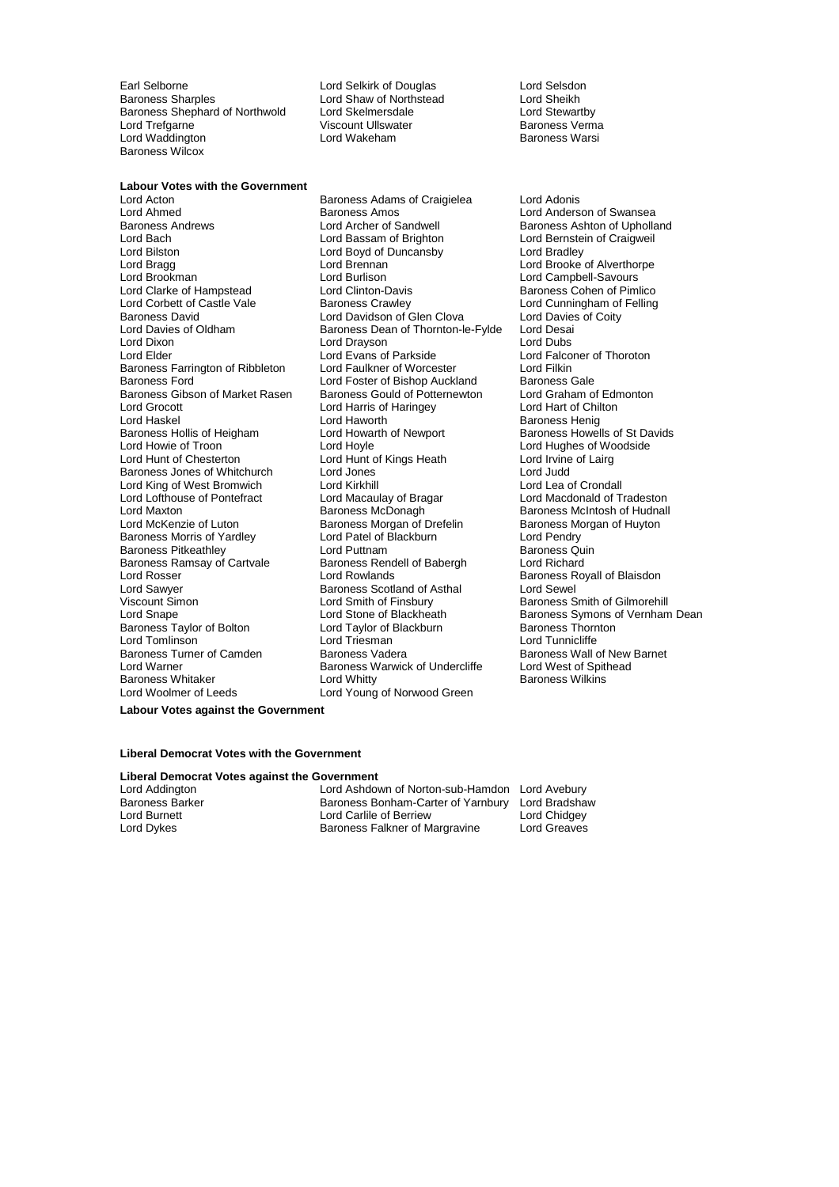Earl Selborne **Lord Selkirk of Douglas** Cord Selsdon<br>
Baroness Sharples **Lord Staw of Northstead** Lord Sheikh Baroness Shephard of Northwold Lord Trefgarne **Viscount Ullswater Community Community** Correspondent Viscount Ullswater Communication Corresponden<br>Correspondent Lord Wakeham Correspondent Baroness Warsi Lord Waddington Baroness Wilcox

Lord Shaw of Northstead Lord Sheikh<br>Lord Skelmersdale Lord Stewartby

### **Labour Votes with the Government**

Lord Dixon Lord Drayson Lord Dubs Lord Grocott **Lord Harris of Haringey**<br>Lord Haskel **Lord Haworth** Lord King of West Bromwich Baroness Ramsay of Cartvale Baroness Rendell Baroness Rendell Carty and Baroness Rendell Cord Rowlands Lord Tomlinson<br>Baroness Turner of Camden Baroness Vadera Lord Warner **Baroness Warwick of Undercliffe** 

Baroness Adams of Craigielea Lord Adonis Lord Ahmed **Baroness Amos** Cord Anderson of Swansea<br>Baroness Andrews **Baroness Andrews** Lord Archer of Sandwell **Baroness Ashton of Upholla** Baroness Andrews **Example 2** Lord Archer of Sandwell Baroness Ashton of Upholland<br>
Lord Baroness Ashton of Upholland<br>
Lord Baroness Ashton of Craigweil Lord Bilston Lord Boyd of Duncansby Lord Bradley Lord Bragg **Lord Brennan Collect Lord Brooke** of Alverthorpe<br>
Lord Brookman **Lord Burlison** Lord Burlison Lord Campbell-Savours Lord Brookman Lord Burlison Lord Campbell-Savours Lord Corbett of Castle Vale **Baroness Crawley** Lord Cunningham of Felling<br>Baroness David Baroness Crawley Corporation of Glen Clova Lord Davies of Coity Baroness David Lord Davidson of Glen Clova<br>Lord Davies of Oldham Baroness Dean of Thornton-le-Fylde Lord Desai Baroness Dean of Thornton-le-Fylde Lord Desai<br>Lord Dravson Lord Dubs Lord Elder Lord Evans of Parkside Lord Evans Cord Falconer of Thoroton<br>
Baroness Farrington of Ribbleton Lord Faulkner of Worcester Lord Filkin Baroness Farrington of Ribbleton Lord Faulkner of Worcester Lord Filkin Lord Foster of Bishop Auckland Baroness Gale<br>Baroness Gould of Potternewton Lord Graham of Edmonton Baroness Gibson of Market Rasen Baroness Gould of Potternewton Lord Graham of Edmontal Lord Graham of Edmonton<br>Lord Harris of Haringey Lord Hart of Chilton Lord Haworth Cord Haworth Cord Haworth Baroness Henig<br>
Baroness Hollis of Heigham Lord Howarth of Newport Baroness Howel Lord Howie of Troon **Lord Hoyle** Lord Hoyle **Lord Hughes of Woodside**<br>
Lord Hunt of Chesterton **Lord Hunt of Kings Heath** Lord Irvine of Lairg Lord Hunt of Kings Heath Lord Irvine Lord Irvine of Kings Heath Lord Irvine of Lairgin Lord Irvine of Lairgin C Baroness Jones of Whitchurch Lord Jones Control Lord Judd<br>
Lord King of West Bromwich Lord Kirkhill<br>
Lord Lea of Crondall Lord Lofthouse of Pontefract Lord Macaulay of Bragar Lord Macdonald of Tradeston<br>
Lord Maxton Cord Chudnal Baroness McDonagh Cord Baroness McIntosh of Hudnal Lord Maxton Baroness McDonagh Baroness McIntosh of Hudnall Baroness Morgan of Drefelin Baroness Morgan of Huyton<br>
Lord Patel of Blackburn Lord Pendry Baroness Morris of Yardley **Lord Patel of Blackburn** Lord Pendry<br> **Baroness Pitkeathley** Lord Puttnam Lord Puttnam Baroness Quin Baroness Pitkeathley The Lord Puttnam Corporation and Baroness Quindent Baroness Quindent Baroness At a Baroness Corporation Baroness Remote Baroness Remote Corporation Baroness Remote Baroness Remote Corporation Baroness Lord Sawyer **Baroness Scotland of Asthal** Lord Sewel<br>
Viscount Simon **Baroness Scotland Smith of Finsbury** Baroness S Viscount Simon **Viscount Simon** Lord Smith of Finsbury **Baroness Smith of Gilmorehill**<br>
Lord Snape **Consult Consult Consults** Lord Stone of Blackheath<br>
Baroness Symons of Vernham Lord Stone of Blackheath Baroness Symons of Vernham Dean<br>
Lord Taylor of Blackburn Baroness Thornton Baroness Taylor of Bolton and Lord Taylor of Blackburn and Baroness Thornton Lord Tunnicliffe<br>
Lord Tomlinson and Lord Triesman and Lord Tunnicliffe Baroness Whitaker **Lord Whitty Communist Communist Communist Communist Communist Communist Communist Communist Communist Communist Communist Communist Communist Communist Communist Communist Communist Communist Communist** Lord Woolmer of Leeds Lord Young of Norwood Green

Lord Bernstein of Craigweil Baroness Cohen of Pimlico Baroness Howells of St Davids Baroness Royall of Blaisdon Baroness Wall of New Barnet<br>Lord West of Spithead

**Labour Votes against the Government**

#### **Liberal Democrat Votes with the Government**

#### **Liberal Democrat Votes against the Government**

Lord Addington Lord Ashdown of Norton-sub-Hamdon Lord Avebury Baroness Barker Baroness Bonham-Carter of Yarnbury Lord Bradshaw<br>Lord Burnett Lord Cartile of Berriew Lord Chidgey Lord Burnett **Lord Carlile of Berriew** Lord Chidgey<br>
Lord Dykes **Lord Chidgey**<br>
Baroness Falkner of Margravine Lord Greaves Baroness Falkner of Margravine